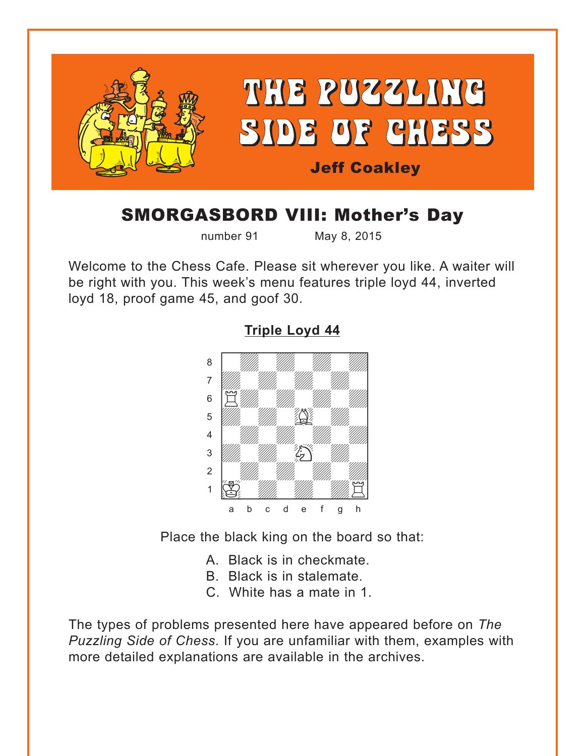<span id="page-0-0"></span>

# SMORGASBORD VIII: Mother's Day

number 91 May 8, 2015

Welcome to the Chess Cafe. Please sit wherever you like. A waiter will be right with you. This week's menu features triple loyd 44, inverted loyd 18, proof game 45, and goof 30.



**[Triple Loyd 44](#page-3-0)**

Place the black king on the board so that:

- A. Black is in checkmate.
- B. Black is in stalemate.
- C. White has a mate in 1.

The types of problems presented here have appeared before on *The Puzzling Side of Chess*. If you are unfamiliar with them, examples with more detailed explanations are available in the archives.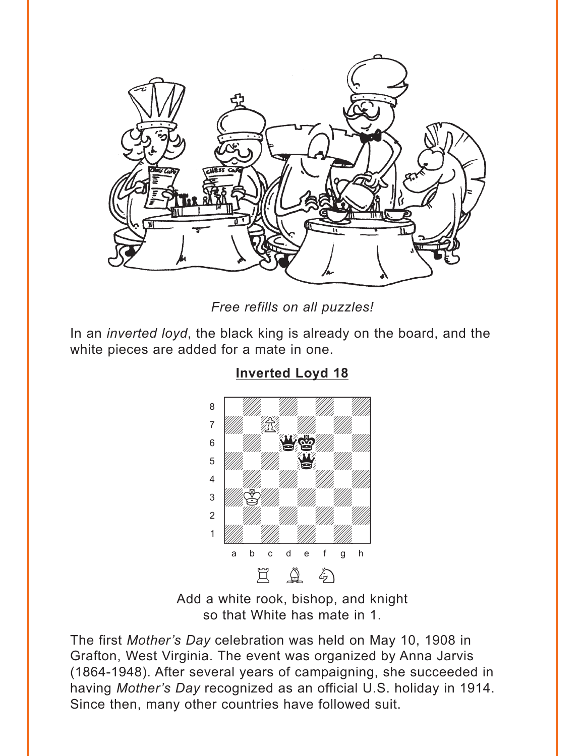<span id="page-1-0"></span>

Free refills on all puzzles!

In an *inverted loyd*, the black king is already on the board, and the white pieces are added for a mate in one.



**Inverted Loyd 18** 

Add a white rook, bishop, and knight so that White has mate in 1.

The first Mother's Day celebration was held on May 10, 1908 in Grafton, West Virginia. The event was organized by Anna Jarvis (1864-1948). After several years of campaigning, she succeeded in having Mother's Day recognized as an official U.S. holiday in 1914. Since then, many other countries have followed suit.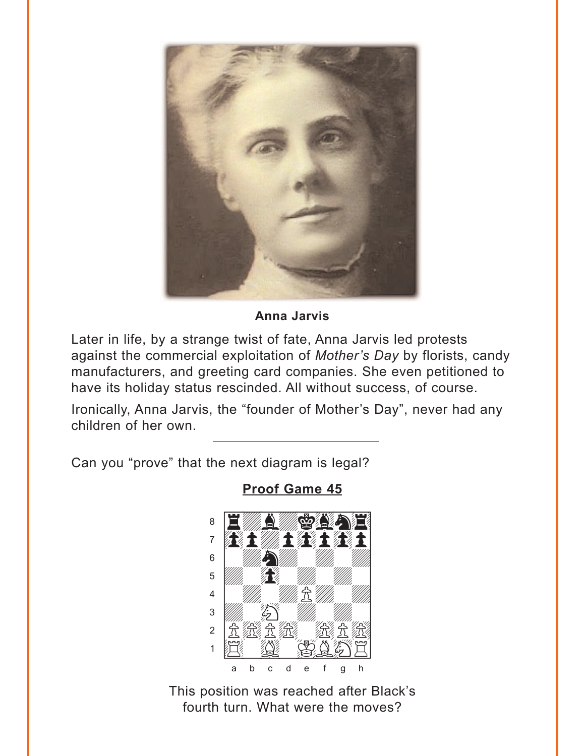<span id="page-2-0"></span>

**Anna Jarvis** 

Later in life, by a strange twist of fate, Anna Jarvis led protests against the commercial exploitation of Mother's Day by florists, candy manufacturers, and greeting card companies. She even petitioned to have its holiday status rescinded. All without success, of course.

Ironically, Anna Jarvis, the "founder of Mother's Day", never had any children of her own.

Can you "prove" that the next diagram is legal?



**Proof Game 45** 

This position was reached after Black's fourth turn. What were the moves?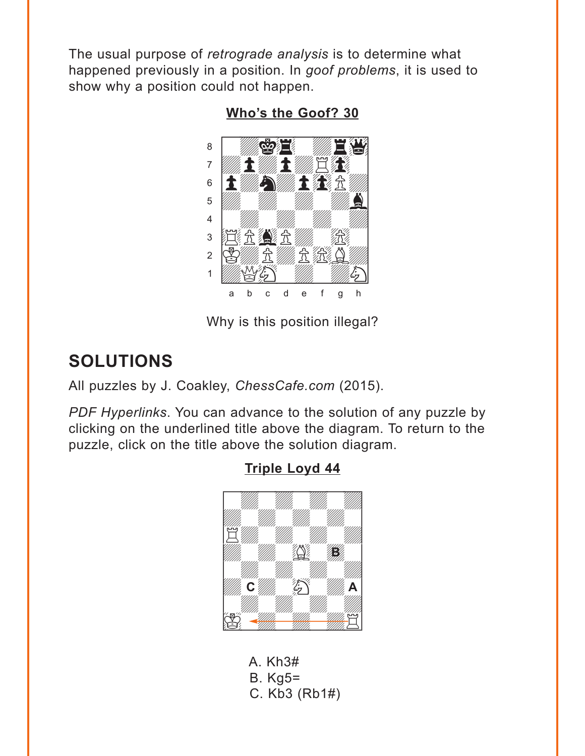<span id="page-3-0"></span>The usual purpose of retrograde analysis is to determine what happened previously in a position. In goof problems, it is used to show why a position could not happen.

Who's the Goof? 30



Why is this position illegal?

## **SOLUTIONS**

All puzzles by J. Coakley, ChessCafe.com (2015).

PDF Hyperlinks. You can advance to the solution of any puzzle by clicking on the underlined title above the diagram. To return to the puzzle, click on the title above the solution diagram.



A. Kh3#  $B. Kq5=$ C. Kb3 (Rb1#)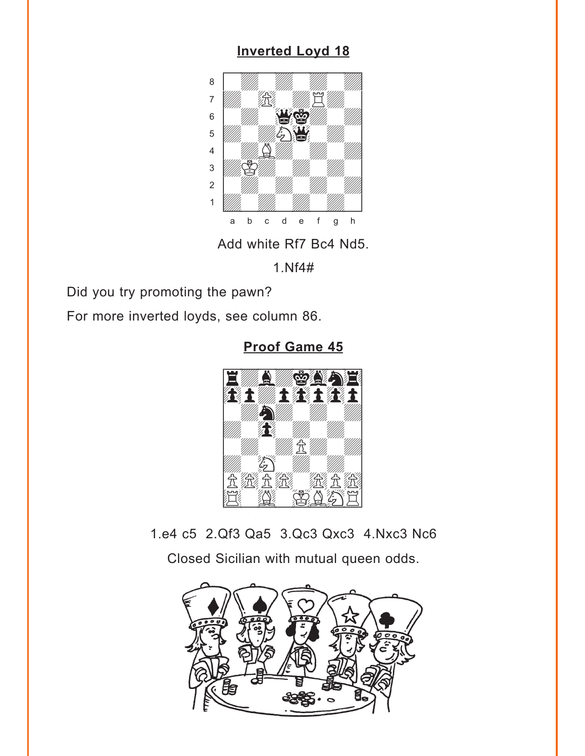## **[Inverted Loyd 18](#page-1-0)**

<span id="page-4-0"></span>

Add white Rf7 Bc4 Nd5.

1.Nf4#

Did you try promoting the pawn?

For more inverted loyds, see column 86.

**[Proof Game 45](#page-2-0)**



1.e4 c5 2.Qf3 Qa5 3.Qc3 Qxc3 4.Nxc3 Nc6 Closed Sicilian with mutual queen odds.

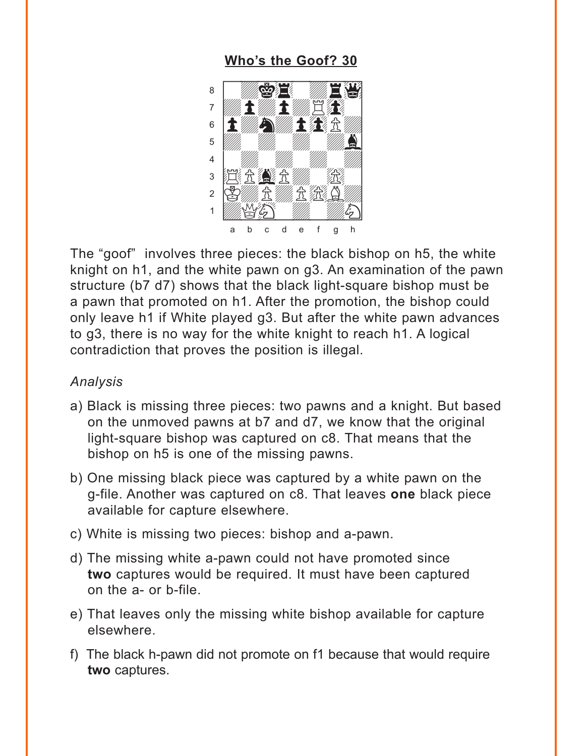### **[Who's the Goof? 30](#page-3-0)**

<span id="page-5-0"></span>

The "goof" involves three pieces: the black bishop on h5, the white knight on h1, and the white pawn on g3. An examination of the pawn structure (b7 d7) shows that the black light-square bishop must be a pawn that promoted on h1. After the promotion, the bishop could only leave h1 if White played g3. But after the white pawn advances to g3, there is no way for the white knight to reach h1. A logical contradiction that proves the position is illegal.

#### *Analysis*

- a) Black is missing three pieces: two pawns and a knight. But based on the unmoved pawns at b7 and d7, we know that the original light-square bishop was captured on c8. That means that the bishop on h5 is one of the missing pawns.
- b) One missing black piece was captured by a white pawn on the g-file. Another was captured on c8. That leaves **one** black piece available for capture elsewhere.
- c) White is missing two pieces: bishop and a-pawn.
- d) The missing white a-pawn could not have promoted since **two** captures would be required. It must have been captured on the a- or b-file.
- e) That leaves only the missing white bishop available for capture elsewhere.
- f) The black h-pawn did not promote on f1 because that would require **two** captures.